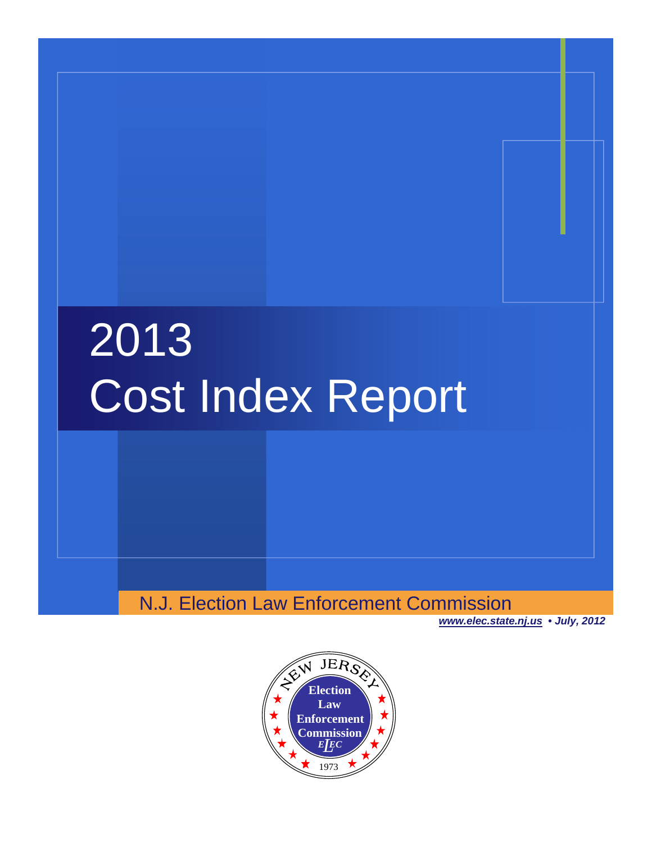# 2013 Cost Index Report

N.J. Election Law Enforcement Commission

*www.elec.state.nj.us • July, 2012*

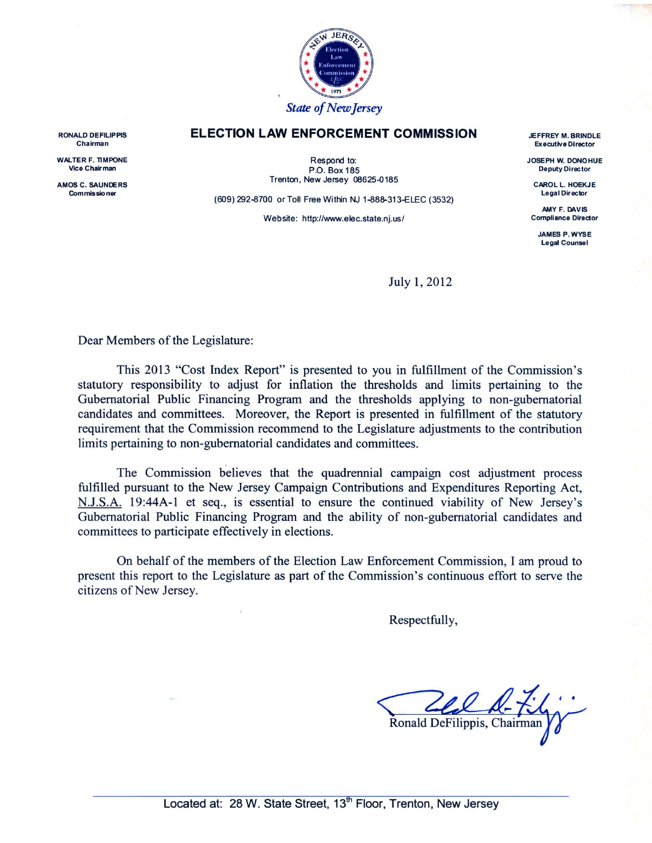

#### **ELECTION LAW ENFORCEMENT COMMISSION**

Respond to: P.O. Box 185 Trenton, New Jersey 08625-0185

(609) 292-8700 or Toll Free Within NJ 1-888-313-ELEC (3532)

Website: http://www.elec.state.nj.us/

**JEFFREY M. BRINDLE Executive Director** 

JOSEPH W. DONOHUE **Deputy Director** 

**CAROL L. HOEKJE Legal Director** 

AMY F. DAVIS **Compliance Director** 

**JAMES P. WYSE Legal Counsel** 

July 1, 2012

Dear Members of the Legislature:

This 2013 "Cost Index Report" is presented to you in fulfillment of the Commission's statutory responsibility to adjust for inflation the thresholds and limits pertaining to the Gubernatorial Public Financing Program and the thresholds applying to non-gubernatorial candidates and committees. Moreover, the Report is presented in fulfillment of the statutory requirement that the Commission recommend to the Legislature adjustments to the contribution limits pertaining to non-gubernatorial candidates and committees.

The Commission believes that the quadrennial campaign cost adjustment process fulfilled pursuant to the New Jersey Campaign Contributions and Expenditures Reporting Act, N.J.S.A. 19:44A-1 et seq., is essential to ensure the continued viability of New Jersey's Gubernatorial Public Financing Program and the ability of non-gubernatorial candidates and committees to participate effectively in elections.

On behalf of the members of the Election Law Enforcement Commission, I am proud to present this report to the Legislature as part of the Commission's continuous effort to serve the citizens of New Jersey.

Respectfully,

Ronald DeFilippis, Chairman

**RONALD DEFILIPPIS** Chairman

**WALTER F. TIMPONE** Vice Chair man

AMOS C. SAUNDERS Commissioner

Located at: 28 W. State Street, 13<sup>th</sup> Floor, Trenton, New Jersey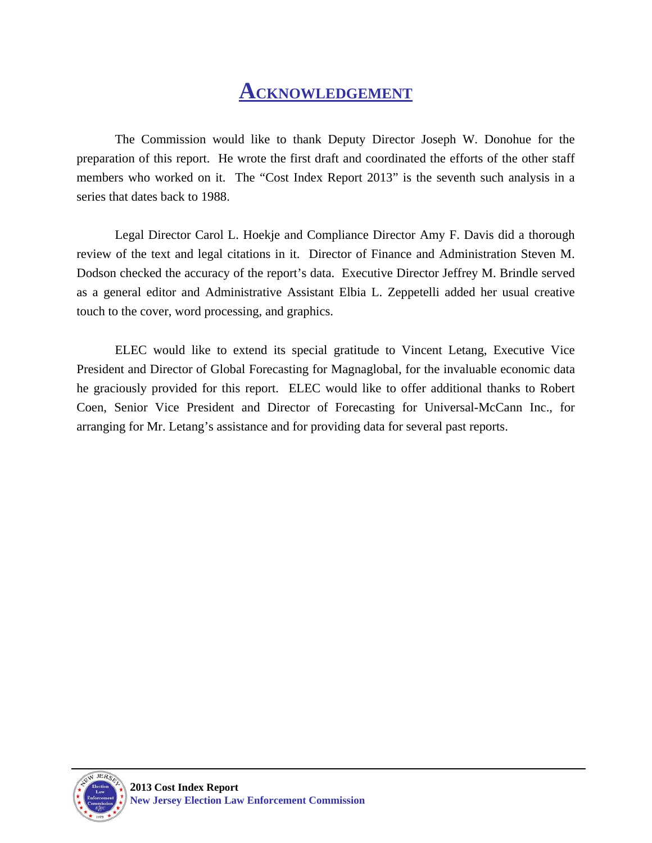# **ACKNOWLEDGEMENT**

The Commission would like to thank Deputy Director Joseph W. Donohue for the preparation of this report. He wrote the first draft and coordinated the efforts of the other staff members who worked on it. The "Cost Index Report 2013" is the seventh such analysis in a series that dates back to 1988.

 Legal Director Carol L. Hoekje and Compliance Director Amy F. Davis did a thorough review of the text and legal citations in it. Director of Finance and Administration Steven M. Dodson checked the accuracy of the report's data. Executive Director Jeffrey M. Brindle served as a general editor and Administrative Assistant Elbia L. Zeppetelli added her usual creative touch to the cover, word processing, and graphics.

 ELEC would like to extend its special gratitude to Vincent Letang, Executive Vice President and Director of Global Forecasting for Magnaglobal, for the invaluable economic data he graciously provided for this report. ELEC would like to offer additional thanks to Robert Coen, Senior Vice President and Director of Forecasting for Universal-McCann Inc., for arranging for Mr. Letang's assistance and for providing data for several past reports.

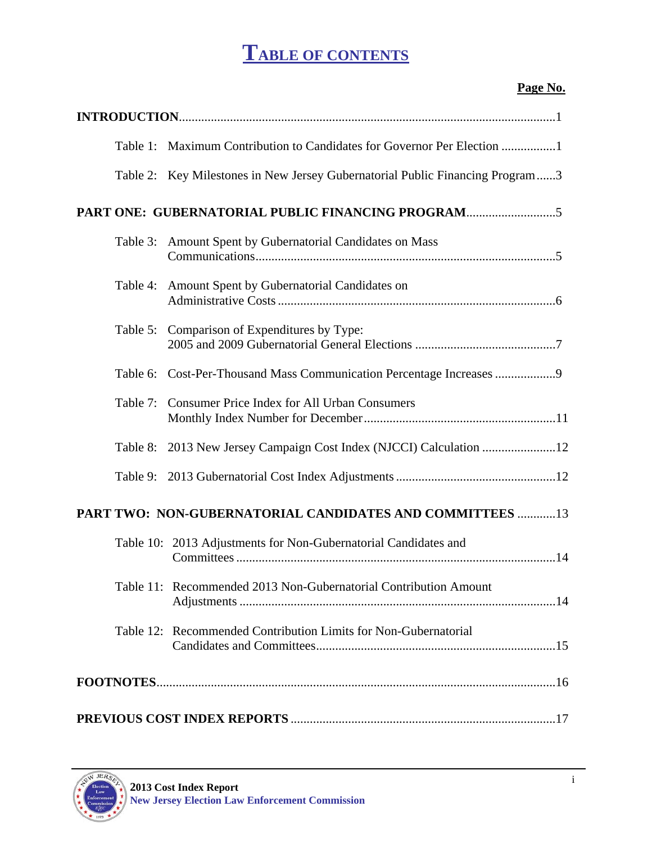# **TABLE OF CONTENTS**

#### **Page No.**

|          | Table 1: Maximum Contribution to Candidates for Governor Per Election 1       |
|----------|-------------------------------------------------------------------------------|
|          | Table 2: Key Milestones in New Jersey Gubernatorial Public Financing Program3 |
|          | PART ONE: GUBERNATORIAL PUBLIC FINANCING PROGRAM                              |
| Table 3: | Amount Spent by Gubernatorial Candidates on Mass                              |
| Table 4: | Amount Spent by Gubernatorial Candidates on                                   |
|          | Table 5: Comparison of Expenditures by Type:                                  |
|          | Table 6: Cost-Per-Thousand Mass Communication Percentage Increases 9          |
| Table 7: | <b>Consumer Price Index for All Urban Consumers</b>                           |
| Table 8: | 2013 New Jersey Campaign Cost Index (NJCCI) Calculation 12                    |
|          |                                                                               |
|          | PART TWO: NON-GUBERNATORIAL CANDIDATES AND COMMITTEES  13                     |
|          | Table 10: 2013 Adjustments for Non-Gubernatorial Candidates and               |
|          | Table 11: Recommended 2013 Non-Gubernatorial Contribution Amount              |
|          | Table 12: Recommended Contribution Limits for Non-Gubernatorial               |
|          |                                                                               |
|          |                                                                               |

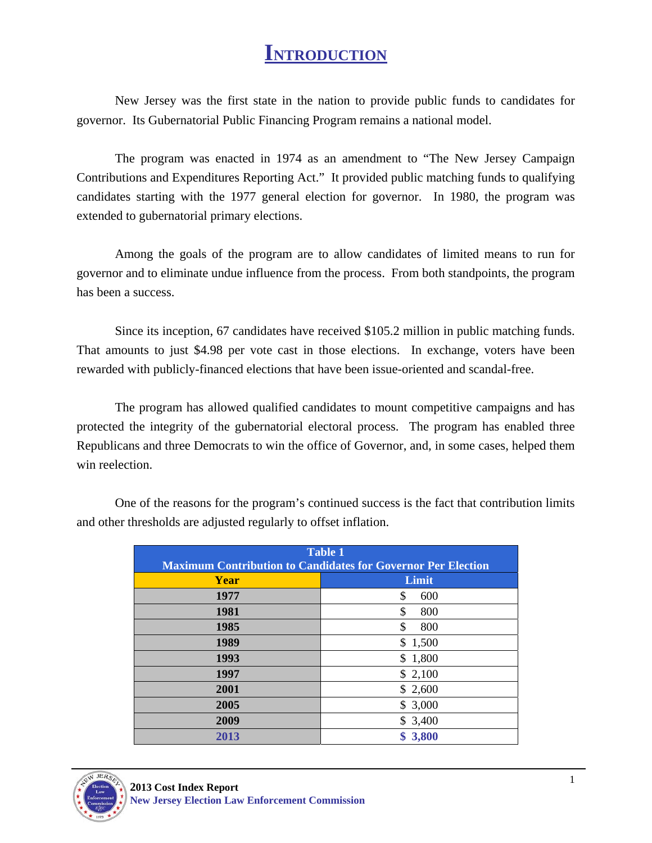## **INTRODUCTION**

New Jersey was the first state in the nation to provide public funds to candidates for governor. Its Gubernatorial Public Financing Program remains a national model.

The program was enacted in 1974 as an amendment to "The New Jersey Campaign Contributions and Expenditures Reporting Act." It provided public matching funds to qualifying candidates starting with the 1977 general election for governor. In 1980, the program was extended to gubernatorial primary elections.

Among the goals of the program are to allow candidates of limited means to run for governor and to eliminate undue influence from the process. From both standpoints, the program has been a success.

Since its inception, 67 candidates have received \$105.2 million in public matching funds. That amounts to just \$4.98 per vote cast in those elections. In exchange, voters have been rewarded with publicly-financed elections that have been issue-oriented and scandal-free.

The program has allowed qualified candidates to mount competitive campaigns and has protected the integrity of the gubernatorial electoral process. The program has enabled three Republicans and three Democrats to win the office of Governor, and, in some cases, helped them win reelection.

| <b>Table 1</b>                                                      |             |  |  |  |  |  |
|---------------------------------------------------------------------|-------------|--|--|--|--|--|
| <b>Maximum Contribution to Candidates for Governor Per Election</b> |             |  |  |  |  |  |
| Year                                                                | Limit       |  |  |  |  |  |
| 1977                                                                | \$<br>600   |  |  |  |  |  |
| 1981                                                                | \$<br>800   |  |  |  |  |  |
| 1985                                                                | \$<br>800   |  |  |  |  |  |
| 1989                                                                | \$1,500     |  |  |  |  |  |
| 1993                                                                | \$1,800     |  |  |  |  |  |
| 1997                                                                | \$2,100     |  |  |  |  |  |
| 2001                                                                | \$2,600     |  |  |  |  |  |
| 2005                                                                | \$3,000     |  |  |  |  |  |
| 2009                                                                | \$3,400     |  |  |  |  |  |
| 2013                                                                | 3,800<br>\$ |  |  |  |  |  |

One of the reasons for the program's continued success is the fact that contribution limits and other thresholds are adjusted regularly to offset inflation.

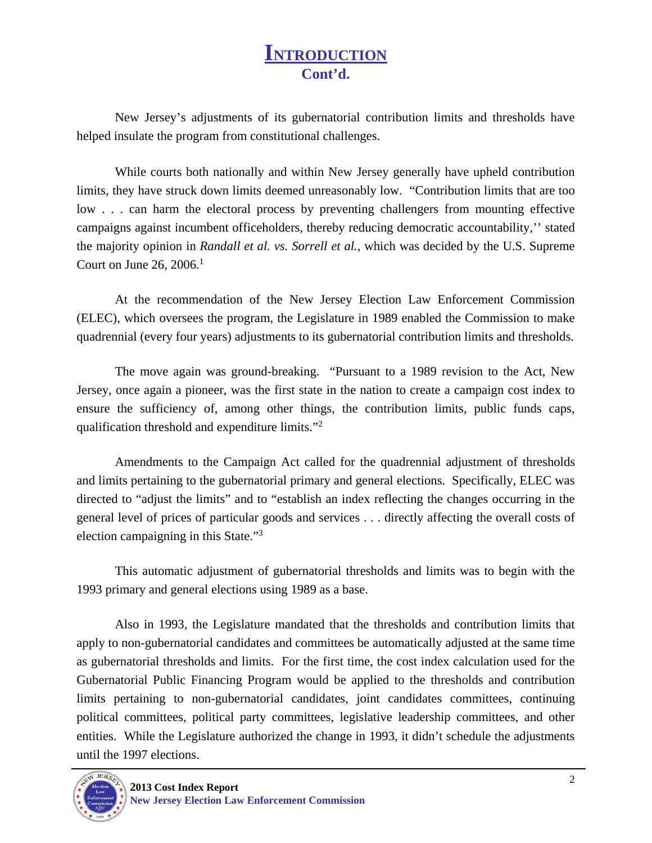## **INTRODUCTION Cont'd.**

 New Jersey's adjustments of its gubernatorial contribution limits and thresholds have helped insulate the program from constitutional challenges.

 While courts both nationally and within New Jersey generally have upheld contribution limits, they have struck down limits deemed unreasonably low. "Contribution limits that are too low . . . can harm the electoral process by preventing challengers from mounting effective campaigns against incumbent officeholders, thereby reducing democratic accountability,'' stated the majority opinion in *Randall et al. vs. Sorrell et al.*, which was decided by the U.S. Supreme Court on June 26, 2006. $^1$ 

 At the recommendation of the New Jersey Election Law Enforcement Commission (ELEC), which oversees the program, the Legislature in 1989 enabled the Commission to make quadrennial (every four years) adjustments to its gubernatorial contribution limits and thresholds.

 The move again was ground-breaking. "Pursuant to a 1989 revision to the Act, New Jersey, once again a pioneer, was the first state in the nation to create a campaign cost index to ensure the sufficiency of, among other things, the contribution limits, public funds caps, qualification threshold and expenditure limits."<sup>2</sup>

 Amendments to the Campaign Act called for the quadrennial adjustment of thresholds and limits pertaining to the gubernatorial primary and general elections. Specifically, ELEC was directed to "adjust the limits" and to "establish an index reflecting the changes occurring in the general level of prices of particular goods and services . . . directly affecting the overall costs of election campaigning in this State."3

 This automatic adjustment of gubernatorial thresholds and limits was to begin with the 1993 primary and general elections using 1989 as a base.

 Also in 1993, the Legislature mandated that the thresholds and contribution limits that apply to non-gubernatorial candidates and committees be automatically adjusted at the same time as gubernatorial thresholds and limits. For the first time, the cost index calculation used for the Gubernatorial Public Financing Program would be applied to the thresholds and contribution limits pertaining to non-gubernatorial candidates, joint candidates committees, continuing political committees, political party committees, legislative leadership committees, and other entities. While the Legislature authorized the change in 1993, it didn't schedule the adjustments until the 1997 elections.

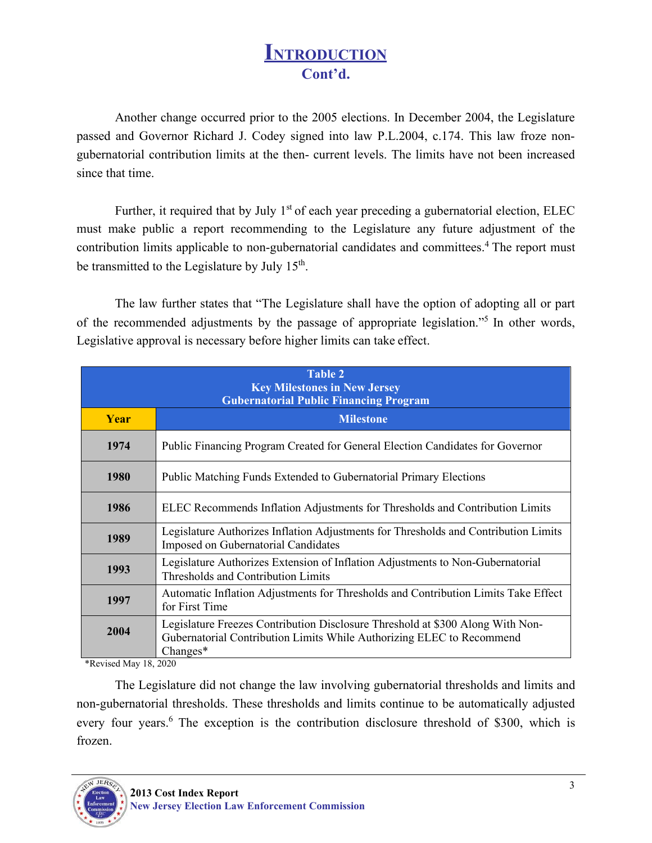## **INTRODUCTION Cont'd.**

Another change occurred prior to the 2005 elections. In December 2004, the Legislature passed and Governor Richard J. Codey signed into law P.L.2004, c.174. This law froze nongubernatorial contribution limits at the then- current levels. The limits have not been increased since that time.

Further, it required that by July  $1<sup>st</sup>$  of each year preceding a gubernatorial election, ELEC must make public a report recommending to the Legislature any future adjustment of the contribution limits applicable to non-gubernatorial candidates and committees.<sup>4</sup> The report must be transmitted to the Legislature by July 15<sup>th</sup>.

The law further states that "The Legislature shall have the option of adopting all or part of the recommended adjustments by the passage of appropriate legislation."5 In other words, Legislative approval is necessary before higher limits can take effect.

| <b>Table 2</b><br><b>Key Milestones in New Jersey</b><br><b>Gubernatorial Public Financing Program</b> |                                                                                                                                                                        |  |  |  |  |  |
|--------------------------------------------------------------------------------------------------------|------------------------------------------------------------------------------------------------------------------------------------------------------------------------|--|--|--|--|--|
| <b>Year</b>                                                                                            | <b>Milestone</b>                                                                                                                                                       |  |  |  |  |  |
| 1974                                                                                                   | Public Financing Program Created for General Election Candidates for Governor                                                                                          |  |  |  |  |  |
| 1980                                                                                                   | Public Matching Funds Extended to Gubernatorial Primary Elections                                                                                                      |  |  |  |  |  |
| 1986                                                                                                   | ELEC Recommends Inflation Adjustments for Thresholds and Contribution Limits                                                                                           |  |  |  |  |  |
| 1989                                                                                                   | Legislature Authorizes Inflation Adjustments for Thresholds and Contribution Limits<br>Imposed on Gubernatorial Candidates                                             |  |  |  |  |  |
| 1993                                                                                                   | Legislature Authorizes Extension of Inflation Adjustments to Non-Gubernatorial<br>Thresholds and Contribution Limits                                                   |  |  |  |  |  |
| 1997                                                                                                   | Automatic Inflation Adjustments for Thresholds and Contribution Limits Take Effect<br>for First Time                                                                   |  |  |  |  |  |
| 2004                                                                                                   | Legislature Freezes Contribution Disclosure Threshold at \$300 Along With Non-<br>Gubernatorial Contribution Limits While Authorizing ELEC to Recommend<br>$Changes^*$ |  |  |  |  |  |

\*Revised May 18, 2020

The Legislature did not change the law involving gubernatorial thresholds and limits and non-gubernatorial thresholds. These thresholds and limits continue to be automatically adjusted every four years.<sup>6</sup> The exception is the contribution disclosure threshold of \$300, which is frozen.

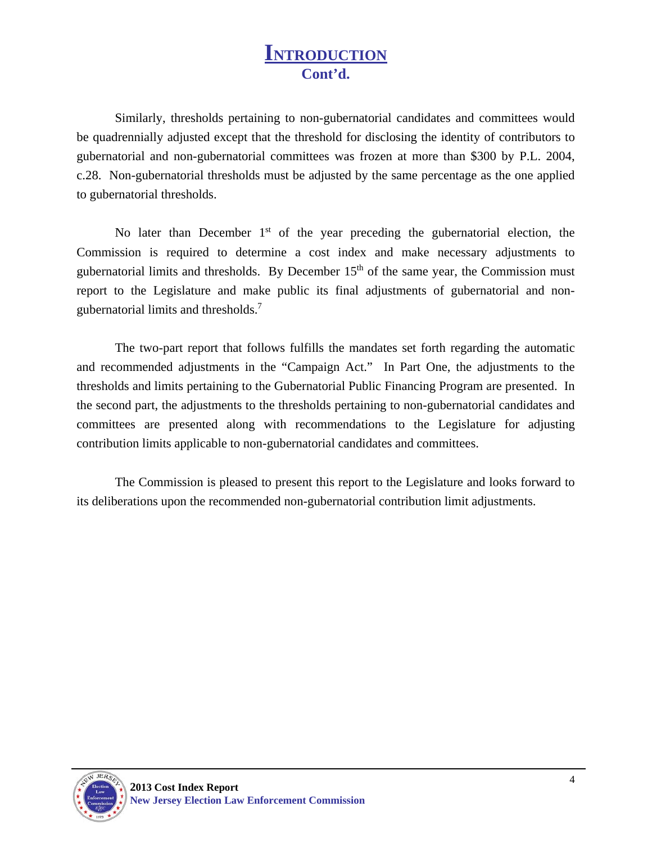#### **INTRODUCTION Cont'd.**

Similarly, thresholds pertaining to non-gubernatorial candidates and committees would be quadrennially adjusted except that the threshold for disclosing the identity of contributors to gubernatorial and non-gubernatorial committees was frozen at more than \$300 by P.L. 2004, c.28. Non-gubernatorial thresholds must be adjusted by the same percentage as the one applied to gubernatorial thresholds.

No later than December  $1<sup>st</sup>$  of the year preceding the gubernatorial election, the Commission is required to determine a cost index and make necessary adjustments to gubernatorial limits and thresholds. By December  $15<sup>th</sup>$  of the same year, the Commission must report to the Legislature and make public its final adjustments of gubernatorial and nongubernatorial limits and thresholds.7

The two-part report that follows fulfills the mandates set forth regarding the automatic and recommended adjustments in the "Campaign Act." In Part One, the adjustments to the thresholds and limits pertaining to the Gubernatorial Public Financing Program are presented. In the second part, the adjustments to the thresholds pertaining to non-gubernatorial candidates and committees are presented along with recommendations to the Legislature for adjusting contribution limits applicable to non-gubernatorial candidates and committees.

The Commission is pleased to present this report to the Legislature and looks forward to its deliberations upon the recommended non-gubernatorial contribution limit adjustments.

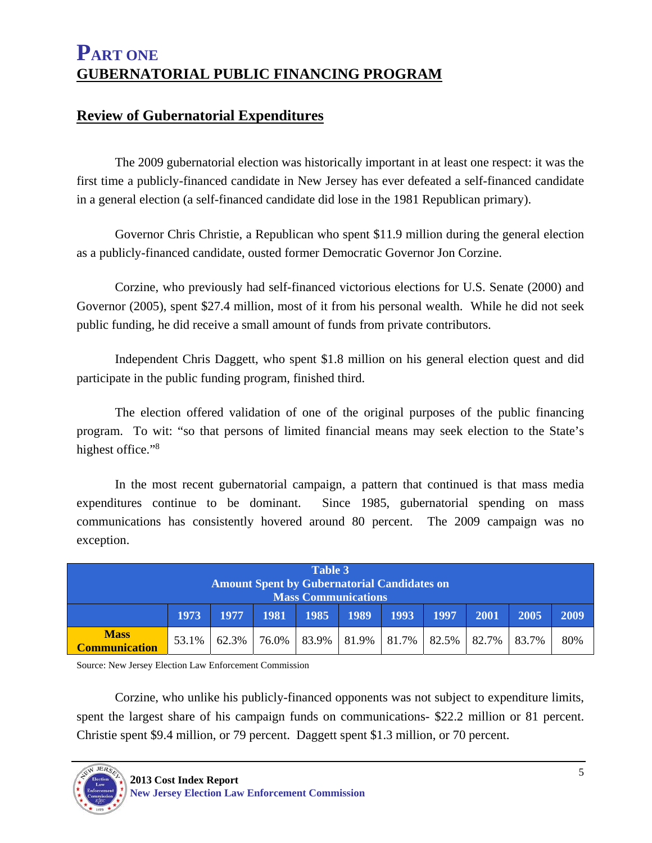#### **Review of Gubernatorial Expenditures**

 The 2009 gubernatorial election was historically important in at least one respect: it was the first time a publicly-financed candidate in New Jersey has ever defeated a self-financed candidate in a general election (a self-financed candidate did lose in the 1981 Republican primary).

 Governor Chris Christie, a Republican who spent \$11.9 million during the general election as a publicly-financed candidate, ousted former Democratic Governor Jon Corzine.

 Corzine, who previously had self-financed victorious elections for U.S. Senate (2000) and Governor (2005), spent \$27.4 million, most of it from his personal wealth. While he did not seek public funding, he did receive a small amount of funds from private contributors.

 Independent Chris Daggett, who spent \$1.8 million on his general election quest and did participate in the public funding program, finished third.

 The election offered validation of one of the original purposes of the public financing program. To wit: "so that persons of limited financial means may seek election to the State's highest office."<sup>8</sup>

 In the most recent gubernatorial campaign, a pattern that continued is that mass media expenditures continue to be dominant. Since 1985, gubernatorial spending on mass communications has consistently hovered around 80 percent. The 2009 campaign was no exception.

|                      | Table 3 |       |       |                                                    |       |       |       |       |       |      |
|----------------------|---------|-------|-------|----------------------------------------------------|-------|-------|-------|-------|-------|------|
|                      |         |       |       | <b>Amount Spent by Gubernatorial Candidates on</b> |       |       |       |       |       |      |
|                      |         |       |       | <b>Mass Communications</b>                         |       |       |       |       |       |      |
|                      |         |       |       |                                                    |       |       |       |       |       |      |
|                      | 1973    | 1977  | 1981  | 1985                                               | 1989  | 1993  | 1997  | 2001  | 2005  | 2009 |
|                      |         |       |       |                                                    |       |       |       |       |       |      |
| <b>Mass</b>          |         |       |       |                                                    |       |       |       |       |       |      |
| <b>Communication</b> | 53.1%   | 62.3% | 76.0% | 83.9%                                              | 81.9% | 81.7% | 82.5% | 82.7% | 83.7% | 80%  |
|                      |         |       |       |                                                    |       |       |       |       |       |      |

Source: New Jersey Election Law Enforcement Commission

Corzine, who unlike his publicly-financed opponents was not subject to expenditure limits, spent the largest share of his campaign funds on communications- \$22.2 million or 81 percent. Christie spent \$9.4 million, or 79 percent. Daggett spent \$1.3 million, or 70 percent.

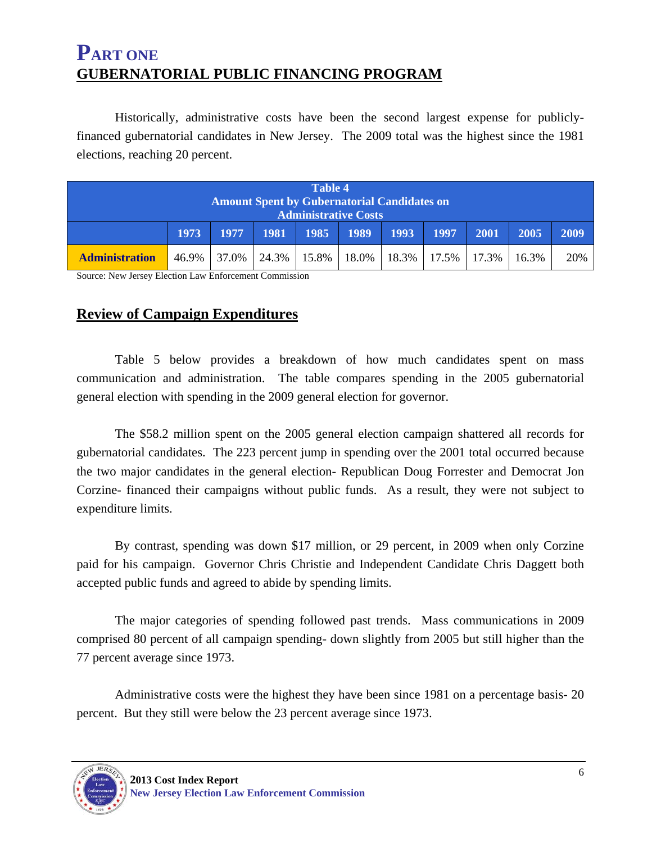Historically, administrative costs have been the second largest expense for publiclyfinanced gubernatorial candidates in New Jersey. The 2009 total was the highest since the 1981 elections, reaching 20 percent.

| <b>Table 4</b>                                                                    |             |       |       |          |       |       |       |       |       |      |
|-----------------------------------------------------------------------------------|-------------|-------|-------|----------|-------|-------|-------|-------|-------|------|
| <b>Amount Spent by Gubernatorial Candidates on</b><br><b>Administrative Costs</b> |             |       |       |          |       |       |       |       |       |      |
|                                                                                   | <b>1973</b> | 1977  | 1981  | 1985     | 1989  | 1993  | 1997  | 2001  | 2005  | 2009 |
| <b>Administration</b>                                                             | 46.9%       | 37.0% | 24.3% | $15.8\%$ | 18.0% | 18.3% | 17.5% | 17.3% | 16.3% | 20%  |

Source: New Jersey Election Law Enforcement Commission

#### **Review of Campaign Expenditures**

 Table 5 below provides a breakdown of how much candidates spent on mass communication and administration. The table compares spending in the 2005 gubernatorial general election with spending in the 2009 general election for governor.

 The \$58.2 million spent on the 2005 general election campaign shattered all records for gubernatorial candidates. The 223 percent jump in spending over the 2001 total occurred because the two major candidates in the general election- Republican Doug Forrester and Democrat Jon Corzine- financed their campaigns without public funds. As a result, they were not subject to expenditure limits.

 By contrast, spending was down \$17 million, or 29 percent, in 2009 when only Corzine paid for his campaign. Governor Chris Christie and Independent Candidate Chris Daggett both accepted public funds and agreed to abide by spending limits.

 The major categories of spending followed past trends. Mass communications in 2009 comprised 80 percent of all campaign spending- down slightly from 2005 but still higher than the 77 percent average since 1973.

 Administrative costs were the highest they have been since 1981 on a percentage basis- 20 percent. But they still were below the 23 percent average since 1973.

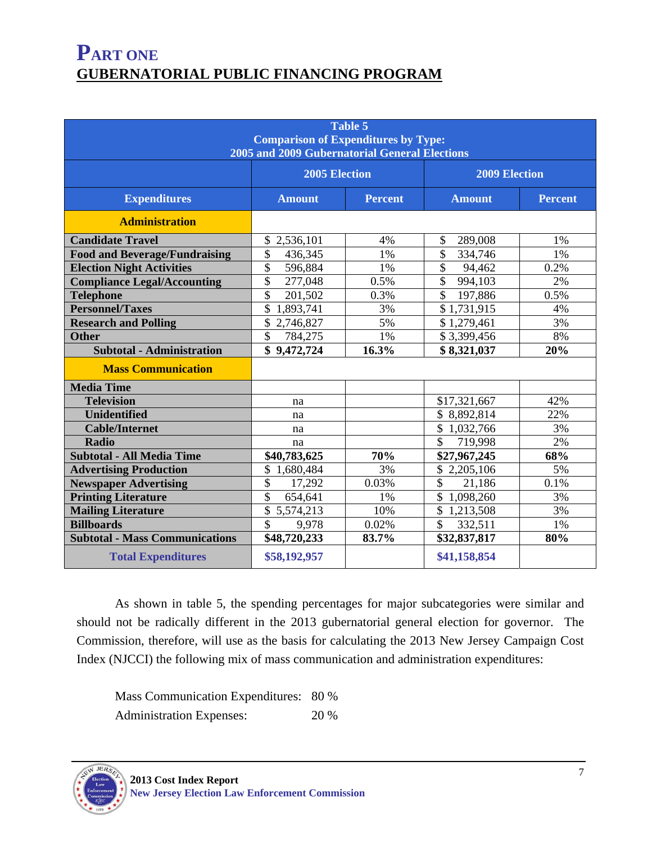| Table 5<br><b>Comparison of Expenditures by Type:</b><br>2005 and 2009 Gubernatorial General Elections |                                 |       |                        |                |  |  |
|--------------------------------------------------------------------------------------------------------|---------------------------------|-------|------------------------|----------------|--|--|
|                                                                                                        | 2005 Election                   |       | <b>2009 Election</b>   |                |  |  |
| <b>Expenditures</b>                                                                                    | <b>Amount</b><br><b>Percent</b> |       | <b>Amount</b>          | <b>Percent</b> |  |  |
| <b>Administration</b>                                                                                  |                                 |       |                        |                |  |  |
| <b>Candidate Travel</b>                                                                                | \$2,536,101                     | 4%    | \$<br>289,008          | 1%             |  |  |
| <b>Food and Beverage/Fundraising</b>                                                                   | \$<br>436,345                   | 1%    | \$<br>334,746          | 1%             |  |  |
| <b>Election Night Activities</b>                                                                       | \$<br>596,884                   | 1%    | \$<br>94,462           | 0.2%           |  |  |
| <b>Compliance Legal/Accounting</b>                                                                     | \$<br>277,048                   | 0.5%  | \$<br>994,103          | 2%             |  |  |
| <b>Telephone</b>                                                                                       | \$<br>201,502                   | 0.3%  | \$<br>197,886          | 0.5%           |  |  |
| <b>Personnel/Taxes</b>                                                                                 | \$<br>1,893,741                 | 3%    | \$1,731,915            | 4%             |  |  |
| <b>Research and Polling</b>                                                                            | \$<br>2,746,827                 | 5%    | \$1,279,461            | 3%             |  |  |
| <b>Other</b>                                                                                           | $\mathbb{S}$<br>784,275         | 1%    | \$3,399,456            | 8%             |  |  |
| <b>Subtotal - Administration</b>                                                                       | \$9,472,724                     | 16.3% | \$8,321,037            | 20%            |  |  |
| <b>Mass Communication</b>                                                                              |                                 |       |                        |                |  |  |
| <b>Media Time</b>                                                                                      |                                 |       |                        |                |  |  |
| <b>Television</b>                                                                                      | na                              |       | \$17,321,667           | 42%            |  |  |
| Unidentified                                                                                           | na                              |       | \$8,892,814            | 22%            |  |  |
| <b>Cable/Internet</b>                                                                                  | na                              |       | \$1,032,766            | 3%             |  |  |
| <b>Radio</b>                                                                                           | na                              |       | \$<br>719,998          | 2%             |  |  |
| <b>Subtotal - All Media Time</b>                                                                       | \$40,783,625                    | 70%   | \$27,967,245           | 68%            |  |  |
| <b>Advertising Production</b>                                                                          | \$1,680,484                     | 3%    | \$2,205,106            | 5%             |  |  |
| <b>Newspaper Advertising</b>                                                                           | \$<br>17,292                    | 0.03% | $\mathbb{S}$<br>21,186 | 0.1%           |  |  |
| <b>Printing Literature</b>                                                                             | \$<br>654,641                   | 1%    | \$1,098,260            | 3%             |  |  |
| <b>Mailing Literature</b>                                                                              | \$5,574,213                     | 10%   | \$1,213,508            | 3%             |  |  |
| <b>Billboards</b>                                                                                      | \$<br>9,978                     | 0.02% | \$<br>332,511          | 1%             |  |  |
| <b>Subtotal - Mass Communications</b>                                                                  | \$48,720,233                    | 83.7% | \$32,837,817           | 80%            |  |  |
| <b>Total Expenditures</b>                                                                              | \$58,192,957                    |       | \$41,158,854           |                |  |  |

 As shown in table 5, the spending percentages for major subcategories were similar and should not be radically different in the 2013 gubernatorial general election for governor. The Commission, therefore, will use as the basis for calculating the 2013 New Jersey Campaign Cost Index (NJCCI) the following mix of mass communication and administration expenditures:

 Mass Communication Expenditures: 80 % Administration Expenses: 20 %

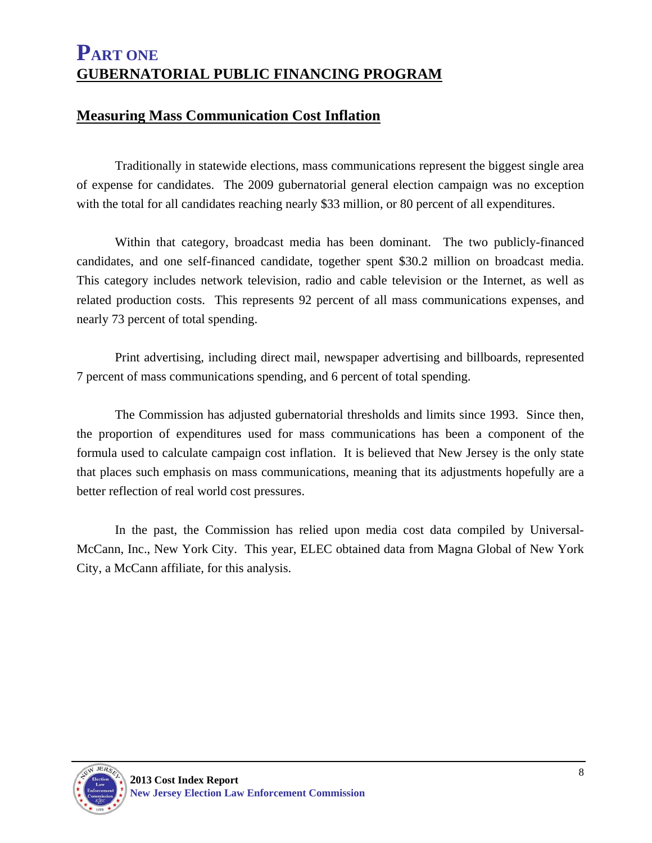#### **Measuring Mass Communication Cost Inflation**

 Traditionally in statewide elections, mass communications represent the biggest single area of expense for candidates. The 2009 gubernatorial general election campaign was no exception with the total for all candidates reaching nearly \$33 million, or 80 percent of all expenditures.

 Within that category, broadcast media has been dominant. The two publicly-financed candidates, and one self-financed candidate, together spent \$30.2 million on broadcast media. This category includes network television, radio and cable television or the Internet, as well as related production costs. This represents 92 percent of all mass communications expenses, and nearly 73 percent of total spending.

 Print advertising, including direct mail, newspaper advertising and billboards, represented 7 percent of mass communications spending, and 6 percent of total spending.

 The Commission has adjusted gubernatorial thresholds and limits since 1993. Since then, the proportion of expenditures used for mass communications has been a component of the formula used to calculate campaign cost inflation. It is believed that New Jersey is the only state that places such emphasis on mass communications, meaning that its adjustments hopefully are a better reflection of real world cost pressures.

 In the past, the Commission has relied upon media cost data compiled by Universal-McCann, Inc., New York City. This year, ELEC obtained data from Magna Global of New York City, a McCann affiliate, for this analysis.

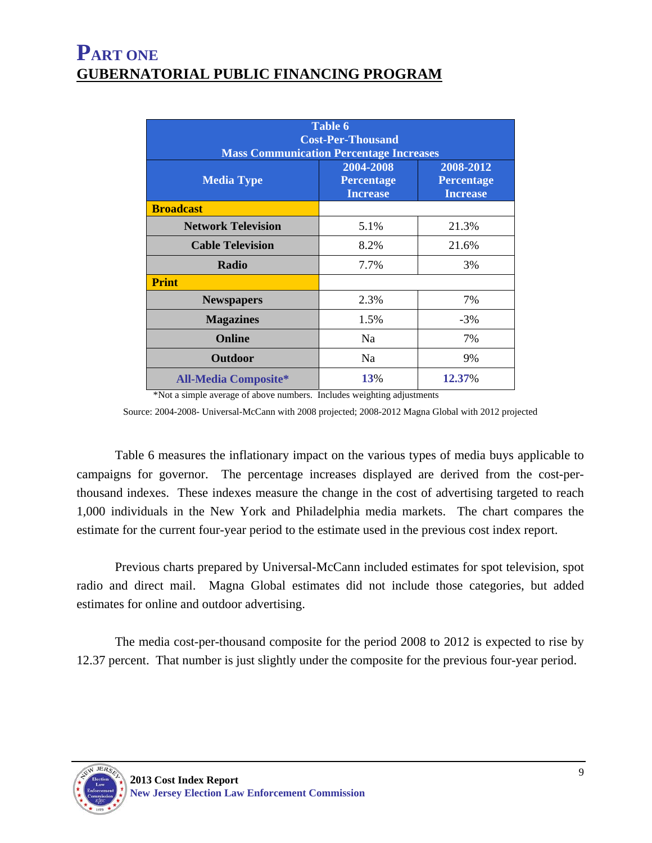| <b>Table 6</b><br><b>Cost-Per-Thousand</b><br><b>Mass Communication Percentage Increases</b> |                                                   |                                                   |  |  |  |  |
|----------------------------------------------------------------------------------------------|---------------------------------------------------|---------------------------------------------------|--|--|--|--|
| <b>Media Type</b>                                                                            | 2004-2008<br><b>Percentage</b><br><b>Increase</b> | 2008-2012<br><b>Percentage</b><br><b>Increase</b> |  |  |  |  |
| <b>Broadcast</b>                                                                             |                                                   |                                                   |  |  |  |  |
| <b>Network Television</b>                                                                    | 5.1%                                              | 21.3%                                             |  |  |  |  |
| <b>Cable Television</b>                                                                      | 8.2%                                              | 21.6%                                             |  |  |  |  |
| Radio                                                                                        | 7.7%                                              | 3%                                                |  |  |  |  |
| <b>Print</b>                                                                                 |                                                   |                                                   |  |  |  |  |
| <b>Newspapers</b>                                                                            | 2.3%                                              | 7%                                                |  |  |  |  |
| <b>Magazines</b>                                                                             | 1.5%                                              | $-3%$                                             |  |  |  |  |
| <b>Online</b>                                                                                | N <sub>a</sub>                                    | 7%                                                |  |  |  |  |
| <b>Outdoor</b>                                                                               | N <sub>a</sub>                                    | 9%                                                |  |  |  |  |
| <b>All-Media Composite*</b>                                                                  | 13%                                               | 12.37%                                            |  |  |  |  |

\*Not a simple average of above numbers. Includes weighting adjustments

Source: 2004-2008- Universal-McCann with 2008 projected; 2008-2012 Magna Global with 2012 projected

 Table 6 measures the inflationary impact on the various types of media buys applicable to campaigns for governor. The percentage increases displayed are derived from the cost-perthousand indexes. These indexes measure the change in the cost of advertising targeted to reach 1,000 individuals in the New York and Philadelphia media markets. The chart compares the estimate for the current four-year period to the estimate used in the previous cost index report.

 Previous charts prepared by Universal-McCann included estimates for spot television, spot radio and direct mail. Magna Global estimates did not include those categories, but added estimates for online and outdoor advertising.

 The media cost-per-thousand composite for the period 2008 to 2012 is expected to rise by 12.37 percent. That number is just slightly under the composite for the previous four-year period.

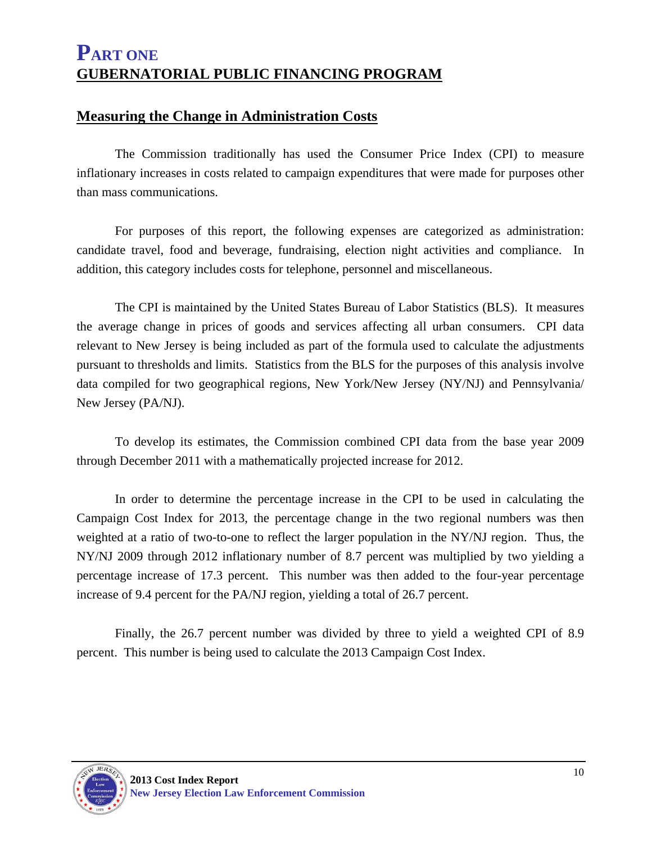#### **Measuring the Change in Administration Costs**

 The Commission traditionally has used the Consumer Price Index (CPI) to measure inflationary increases in costs related to campaign expenditures that were made for purposes other than mass communications.

 For purposes of this report, the following expenses are categorized as administration: candidate travel, food and beverage, fundraising, election night activities and compliance. In addition, this category includes costs for telephone, personnel and miscellaneous.

 The CPI is maintained by the United States Bureau of Labor Statistics (BLS). It measures the average change in prices of goods and services affecting all urban consumers. CPI data relevant to New Jersey is being included as part of the formula used to calculate the adjustments pursuant to thresholds and limits. Statistics from the BLS for the purposes of this analysis involve data compiled for two geographical regions, New York/New Jersey (NY/NJ) and Pennsylvania/ New Jersey (PA/NJ).

 To develop its estimates, the Commission combined CPI data from the base year 2009 through December 2011 with a mathematically projected increase for 2012.

 In order to determine the percentage increase in the CPI to be used in calculating the Campaign Cost Index for 2013, the percentage change in the two regional numbers was then weighted at a ratio of two-to-one to reflect the larger population in the NY/NJ region. Thus, the NY/NJ 2009 through 2012 inflationary number of 8.7 percent was multiplied by two yielding a percentage increase of 17.3 percent. This number was then added to the four-year percentage increase of 9.4 percent for the PA/NJ region, yielding a total of 26.7 percent.

 Finally, the 26.7 percent number was divided by three to yield a weighted CPI of 8.9 percent. This number is being used to calculate the 2013 Campaign Cost Index.

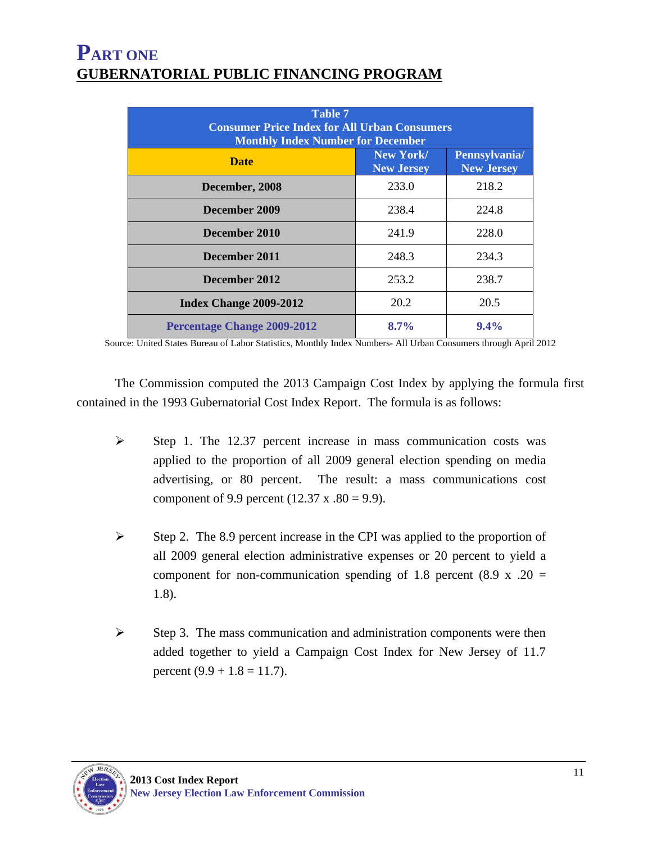| Table 7<br><b>Consumer Price Index for All Urban Consumers</b><br><b>Monthly Index Number for December</b> |                                |                                    |  |  |  |  |
|------------------------------------------------------------------------------------------------------------|--------------------------------|------------------------------------|--|--|--|--|
| <b>Date</b>                                                                                                | New York/<br><b>New Jersey</b> | Pennsylvania/<br><b>New Jersey</b> |  |  |  |  |
| December, 2008                                                                                             | 233.0                          | 218.2                              |  |  |  |  |
| December 2009                                                                                              | 238.4                          | 224.8                              |  |  |  |  |
| December 2010                                                                                              | 241.9                          | 228.0                              |  |  |  |  |
| December 2011                                                                                              | 248.3                          | 234.3                              |  |  |  |  |
| December 2012                                                                                              | 253.2                          | 238.7                              |  |  |  |  |
| Index Change 2009-2012                                                                                     | 20.2                           | 20.5                               |  |  |  |  |
| <b>Percentage Change 2009-2012</b>                                                                         | $8.7\%$                        | $9.4\%$                            |  |  |  |  |

Source: United States Bureau of Labor Statistics, Monthly Index Numbers- All Urban Consumers through April 2012

 The Commission computed the 2013 Campaign Cost Index by applying the formula first contained in the 1993 Gubernatorial Cost Index Report. The formula is as follows:

- $\triangleright$  Step 1. The 12.37 percent increase in mass communication costs was applied to the proportion of all 2009 general election spending on media advertising, or 80 percent. The result: a mass communications cost component of 9.9 percent (12.37 x .80 = 9.9).
- $\triangleright$  Step 2. The 8.9 percent increase in the CPI was applied to the proportion of all 2009 general election administrative expenses or 20 percent to yield a component for non-communication spending of 1.8 percent (8.9 x .20 = 1.8).
- $\triangleright$  Step 3. The mass communication and administration components were then added together to yield a Campaign Cost Index for New Jersey of 11.7 percent  $(9.9 + 1.8 = 11.7)$ .

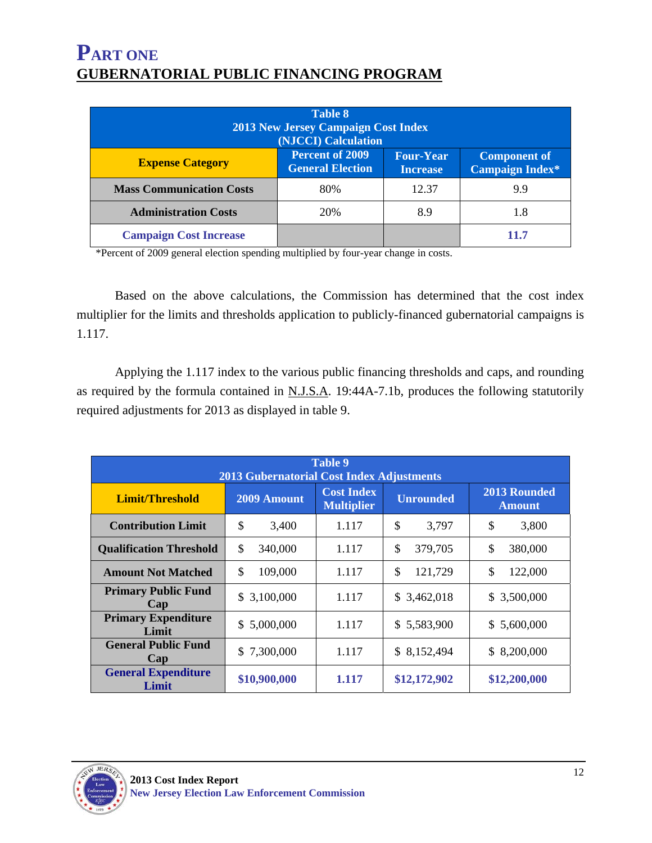| <b>Table 8</b><br><b>2013 New Jersey Campaign Cost Index</b><br>(NJCCI) Calculation                                                                                  |     |       |      |  |  |  |  |
|----------------------------------------------------------------------------------------------------------------------------------------------------------------------|-----|-------|------|--|--|--|--|
| <b>Percent of 2009</b><br><b>Four-Year</b><br><b>Component of</b><br><b>Expense Category</b><br><b>General Election</b><br><b>Campaign Index*</b><br><b>Increase</b> |     |       |      |  |  |  |  |
| <b>Mass Communication Costs</b>                                                                                                                                      | 80% | 12.37 | 9.9  |  |  |  |  |
| <b>Administration Costs</b>                                                                                                                                          | 20% | 8.9   | 1.8  |  |  |  |  |
| <b>Campaign Cost Increase</b>                                                                                                                                        |     |       | 11.7 |  |  |  |  |

\*Percent of 2009 general election spending multiplied by four-year change in costs.

 Based on the above calculations, the Commission has determined that the cost index multiplier for the limits and thresholds application to publicly-financed gubernatorial campaigns is 1.117.

 Applying the 1.117 index to the various public financing thresholds and caps, and rounding as required by the formula contained in  $N.J.S.A.$  19:44A-7.1b, produces the following statutorily required adjustments for 2013 as displayed in table 9.

| Table 9<br><b>2013 Gubernatorial Cost Index Adjustments</b> |               |                                        |                  |                                      |  |  |  |  |
|-------------------------------------------------------------|---------------|----------------------------------------|------------------|--------------------------------------|--|--|--|--|
| Limit/Threshold                                             | 2009 Amount   | <b>Cost Index</b><br><b>Multiplier</b> | <b>Unrounded</b> | <b>2013 Rounded</b><br><b>Amount</b> |  |  |  |  |
| <b>Contribution Limit</b>                                   | \$<br>3,400   | 1.117                                  | \$<br>3,797      | \$<br>3,800                          |  |  |  |  |
| <b>Qualification Threshold</b>                              | \$<br>340,000 | 1.117                                  | \$<br>379,705    | \$<br>380,000                        |  |  |  |  |
| <b>Amount Not Matched</b>                                   | \$<br>109,000 | 1.117                                  | \$<br>121,729    | \$<br>122,000                        |  |  |  |  |
| <b>Primary Public Fund</b><br>Cap                           | \$3,100,000   | 1.117                                  | \$3,462,018      | \$3,500,000                          |  |  |  |  |
| <b>Primary Expenditure</b><br>Limit                         | \$5,000,000   | 1.117                                  | \$5,583,900      | \$5,600,000                          |  |  |  |  |
| <b>General Public Fund</b><br>Cap                           | \$7,300,000   | 1.117                                  | \$8,152,494      | 8,200,000<br>S.                      |  |  |  |  |
| <b>General Expenditure</b><br>Limit                         | \$10,900,000  | 1.117                                  | \$12,172,902     | \$12,200,000                         |  |  |  |  |

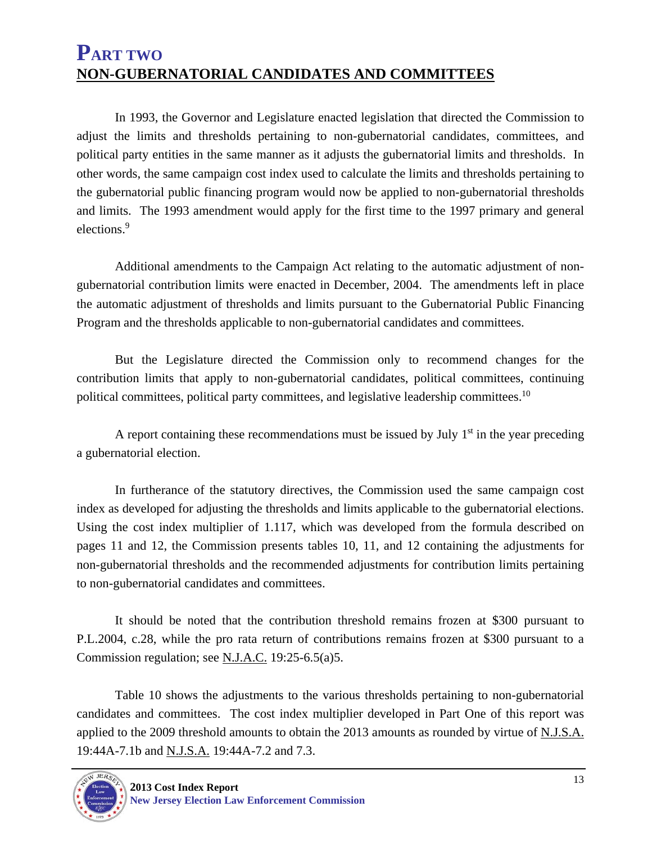#### **PART TWO NON-GUBERNATORIAL CANDIDATES AND COMMITTEES**

 In 1993, the Governor and Legislature enacted legislation that directed the Commission to adjust the limits and thresholds pertaining to non-gubernatorial candidates, committees, and political party entities in the same manner as it adjusts the gubernatorial limits and thresholds. In other words, the same campaign cost index used to calculate the limits and thresholds pertaining to the gubernatorial public financing program would now be applied to non-gubernatorial thresholds and limits. The 1993 amendment would apply for the first time to the 1997 primary and general elections.<sup>9</sup>

 Additional amendments to the Campaign Act relating to the automatic adjustment of nongubernatorial contribution limits were enacted in December, 2004. The amendments left in place the automatic adjustment of thresholds and limits pursuant to the Gubernatorial Public Financing Program and the thresholds applicable to non-gubernatorial candidates and committees.

 But the Legislature directed the Commission only to recommend changes for the contribution limits that apply to non-gubernatorial candidates, political committees, continuing political committees, political party committees, and legislative leadership committees.<sup>10</sup>

A report containing these recommendations must be issued by July  $1<sup>st</sup>$  in the year preceding a gubernatorial election.

 In furtherance of the statutory directives, the Commission used the same campaign cost index as developed for adjusting the thresholds and limits applicable to the gubernatorial elections. Using the cost index multiplier of 1.117, which was developed from the formula described on pages 11 and 12, the Commission presents tables 10, 11, and 12 containing the adjustments for non-gubernatorial thresholds and the recommended adjustments for contribution limits pertaining to non-gubernatorial candidates and committees.

 It should be noted that the contribution threshold remains frozen at \$300 pursuant to P.L.2004, c.28, while the pro rata return of contributions remains frozen at \$300 pursuant to a Commission regulation; see N.J.A.C. 19:25-6.5(a)5.

 Table 10 shows the adjustments to the various thresholds pertaining to non-gubernatorial candidates and committees. The cost index multiplier developed in Part One of this report was applied to the 2009 threshold amounts to obtain the 2013 amounts as rounded by virtue of N.J.S.A. 19:44A-7.1b and N.J.S.A. 19:44A-7.2 and 7.3.

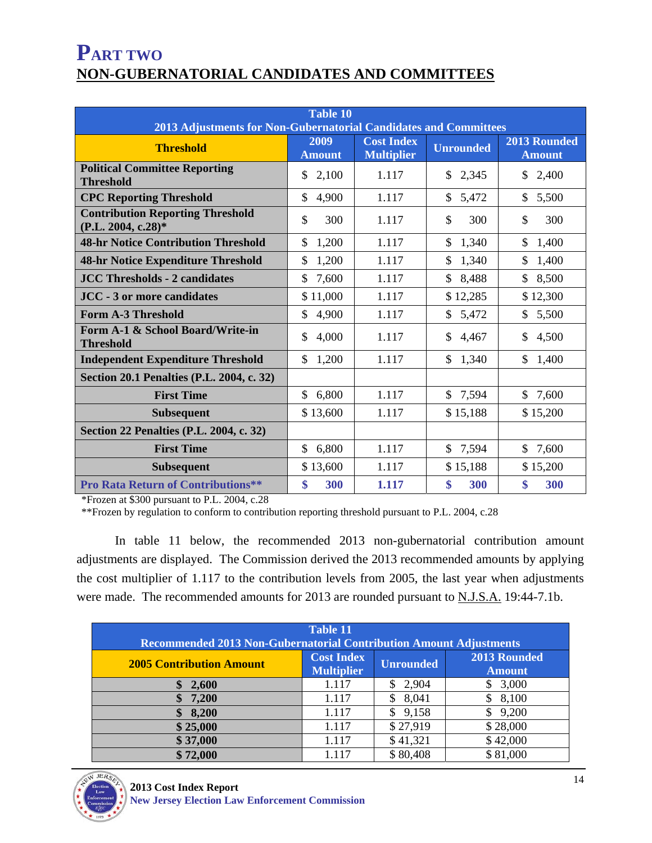## **PART TWO NON-GUBERNATORIAL CANDIDATES AND COMMITTEES**

| <b>Table 10</b><br>2013 Adjustments for Non-Gubernatorial Candidates and Committees |                                                                 |       |                      |                               |  |  |  |
|-------------------------------------------------------------------------------------|-----------------------------------------------------------------|-------|----------------------|-------------------------------|--|--|--|
| <b>Threshold</b>                                                                    | <b>Cost Index</b><br>2009<br><b>Multiplier</b><br><b>Amount</b> |       | <b>Unrounded</b>     | 2013 Rounded<br><b>Amount</b> |  |  |  |
| <b>Political Committee Reporting</b><br><b>Threshold</b>                            | \$<br>2,100                                                     | 1.117 | \$<br>2,345          | \$<br>2,400                   |  |  |  |
| <b>CPC Reporting Threshold</b>                                                      | $\mathbb{S}$<br>4,900                                           | 1.117 | \$<br>5,472          | \$<br>5,500                   |  |  |  |
| <b>Contribution Reporting Threshold</b><br>(P.L. 2004, c.28)*                       | \$<br>300                                                       | 1.117 | $\mathcal{S}$<br>300 | \$<br>300                     |  |  |  |
| <b>48-hr Notice Contribution Threshold</b>                                          | $\mathbb{S}$<br>1,200                                           | 1.117 | \$<br>1,340          | \$<br>1,400                   |  |  |  |
| 48-hr Notice Expenditure Threshold                                                  | \$<br>1,200                                                     | 1.117 | 1,340<br>\$          | \$<br>1,400                   |  |  |  |
| <b>JCC Thresholds - 2 candidates</b>                                                | \$<br>7,600                                                     | 1.117 | 8,488<br>\$          | 8,500<br>\$                   |  |  |  |
| <b>JCC - 3 or more candidates</b>                                                   | \$11,000                                                        | 1.117 | \$12,285             | \$12,300                      |  |  |  |
| <b>Form A-3 Threshold</b>                                                           | \$<br>4,900                                                     | 1.117 | 5,472<br>\$          | \$<br>5,500                   |  |  |  |
| Form A-1 & School Board/Write-in<br><b>Threshold</b>                                | \$<br>4,000                                                     | 1.117 | \$<br>4,467          | \$<br>4,500                   |  |  |  |
| <b>Independent Expenditure Threshold</b>                                            | \$<br>1,200                                                     | 1.117 | \$<br>1,340          | \$<br>1,400                   |  |  |  |
| Section 20.1 Penalties (P.L. 2004, c. 32)                                           |                                                                 |       |                      |                               |  |  |  |
| <b>First Time</b>                                                                   | \$<br>6,800                                                     | 1.117 | \$7,594              | \$<br>7,600                   |  |  |  |
| <b>Subsequent</b>                                                                   | \$13,600                                                        | 1.117 | \$15,188             | \$15,200                      |  |  |  |
| <b>Section 22 Penalties (P.L. 2004, c. 32)</b>                                      |                                                                 |       |                      |                               |  |  |  |
| <b>First Time</b>                                                                   | \$<br>6,800                                                     | 1.117 | \$7,594              | \$<br>7,600                   |  |  |  |
| <b>Subsequent</b>                                                                   | \$13,600                                                        | 1.117 | \$15,188             | \$15,200                      |  |  |  |
| <b>Pro Rata Return of Contributions**</b>                                           | \$<br>300                                                       | 1.117 | \$<br>300            | \$<br>300                     |  |  |  |

\*Frozen at \$300 pursuant to P.L. 2004, c.28

\*\*Frozen by regulation to conform to contribution reporting threshold pursuant to P.L. 2004, c.28

 In table 11 below, the recommended 2013 non-gubernatorial contribution amount adjustments are displayed. The Commission derived the 2013 recommended amounts by applying the cost multiplier of 1.117 to the contribution levels from 2005, the last year when adjustments were made. The recommended amounts for 2013 are rounded pursuant to N.J.S.A. 19:44-7.1b.

| <b>Table 11</b><br>Recommended 2013 Non-Gubernatorial Contribution Amount Adjustments |                                        |                  |                               |  |  |  |
|---------------------------------------------------------------------------------------|----------------------------------------|------------------|-------------------------------|--|--|--|
| <b>2005 Contribution Amount</b>                                                       | <b>Cost Index</b><br><b>Multiplier</b> | <b>Unrounded</b> | 2013 Rounded<br><b>Amount</b> |  |  |  |
| 2,600                                                                                 | 1.117                                  | 2,904            | 3,000                         |  |  |  |
| 7,200                                                                                 | 1.117                                  | 8,041<br>\$      | \$8,100                       |  |  |  |
| 8,200                                                                                 | 1.117                                  | \$9,158          | 9,200                         |  |  |  |
| \$25,000                                                                              | 1.117                                  | \$27,919         | \$28,000                      |  |  |  |
| \$37,000                                                                              | 1.117                                  | \$41,321         | \$42,000                      |  |  |  |
| \$72,000                                                                              | 1.117                                  | \$80,408         | \$81,000                      |  |  |  |

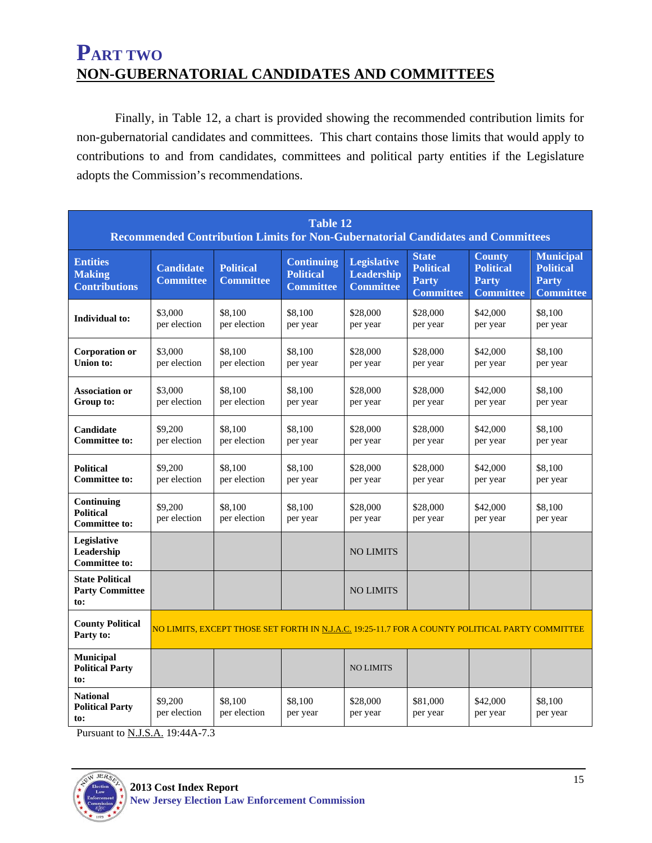## **PART TWO NON-GUBERNATORIAL CANDIDATES AND COMMITTEES**

Finally, in Table 12, a chart is provided showing the recommended contribution limits for non-gubernatorial candidates and committees. This chart contains those limits that would apply to contributions to and from candidates, committees and political party entities if the Legislature adopts the Commission's recommendations.

| <b>Table 12</b><br>Recommended Contribution Limits for Non-Gubernatorial Candidates and Committees |                                                                                                        |                                      |                                                           |                                                             |                                                                      |                                                                       |                                                                          |
|----------------------------------------------------------------------------------------------------|--------------------------------------------------------------------------------------------------------|--------------------------------------|-----------------------------------------------------------|-------------------------------------------------------------|----------------------------------------------------------------------|-----------------------------------------------------------------------|--------------------------------------------------------------------------|
| <b>Entities</b><br><b>Making</b><br><b>Contributions</b>                                           | <b>Candidate</b><br><b>Committee</b>                                                                   | <b>Political</b><br><b>Committee</b> | <b>Continuing</b><br><b>Political</b><br><b>Committee</b> | <b>Legislative</b><br><b>Leadership</b><br><b>Committee</b> | <b>State</b><br><b>Political</b><br><b>Party</b><br><b>Committee</b> | <b>County</b><br><b>Political</b><br><b>Party</b><br><b>Committee</b> | <b>Municipal</b><br><b>Political</b><br><b>Party</b><br><b>Committee</b> |
| Individual to:                                                                                     | \$3,000<br>per election                                                                                | \$8.100<br>per election              | \$8,100<br>per year                                       | \$28,000<br>per year                                        | \$28,000<br>per year                                                 | \$42,000<br>per year                                                  | \$8,100<br>per year                                                      |
| <b>Corporation or</b><br><b>Union to:</b>                                                          | \$3,000<br>per election                                                                                | \$8,100<br>per election              | \$8.100<br>per year                                       | \$28,000<br>per year                                        | \$28,000<br>per year                                                 | \$42,000<br>per year                                                  | \$8,100<br>per year                                                      |
| <b>Association or</b><br>Group to:                                                                 | \$3,000<br>per election                                                                                | \$8.100<br>per election              | \$8.100<br>per year                                       | \$28,000<br>per year                                        | \$28,000<br>per year                                                 | \$42,000<br>per year                                                  | \$8,100<br>per year                                                      |
| Candidate<br><b>Committee to:</b>                                                                  | \$9,200<br>per election                                                                                | \$8.100<br>per election              | \$8.100<br>per year                                       | \$28,000<br>per year                                        | \$28,000<br>per year                                                 | \$42,000<br>per year                                                  | \$8,100<br>per year                                                      |
| <b>Political</b><br><b>Committee to:</b>                                                           | \$9,200<br>per election                                                                                | \$8,100<br>per election              | \$8,100<br>per year                                       | \$28,000<br>per year                                        | \$28,000<br>per year                                                 | \$42,000<br>per year                                                  | \$8,100<br>per year                                                      |
| Continuing<br><b>Political</b><br><b>Committee to:</b>                                             | \$9,200<br>per election                                                                                | \$8,100<br>per election              | \$8,100<br>per year                                       | \$28,000<br>per year                                        | \$28,000<br>per year                                                 | \$42,000<br>per year                                                  | \$8,100<br>per year                                                      |
| Legislative<br>Leadership<br><b>Committee to:</b>                                                  |                                                                                                        |                                      |                                                           | <b>NO LIMITS</b>                                            |                                                                      |                                                                       |                                                                          |
| <b>State Political</b><br><b>Party Committee</b><br>to:                                            |                                                                                                        |                                      |                                                           | <b>NO LIMITS</b>                                            |                                                                      |                                                                       |                                                                          |
| <b>County Political</b><br>Party to:                                                               | <u>NO LIMITS, EXCEPT THOSE SET FORTH IN N.J.A.C. 19:25-11.7 FOR A COUNTY POLITICAL PARTY COMMITTEE</u> |                                      |                                                           |                                                             |                                                                      |                                                                       |                                                                          |
| <b>Municipal</b><br><b>Political Party</b><br>to:                                                  |                                                                                                        |                                      |                                                           | <b>NO LIMITS</b>                                            |                                                                      |                                                                       |                                                                          |
| <b>National</b><br><b>Political Party</b><br>to:                                                   | \$9,200<br>per election                                                                                | \$8.100<br>per election              | \$8.100<br>per year                                       | \$28,000<br>per year                                        | \$81,000<br>per year                                                 | \$42,000<br>per year                                                  | \$8,100<br>per year                                                      |

Pursuant to N.J.S.A. 19:44A-7.3

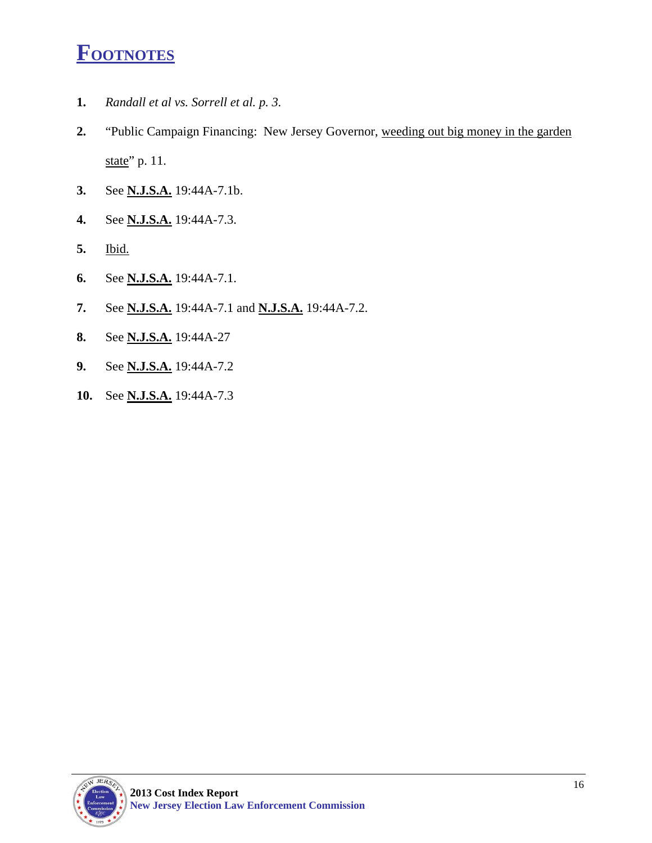# **FOOTNOTES**

- **1.** *Randall et al vs. Sorrell et al. p. 3.*
- **2.** "Public Campaign Financing: New Jersey Governor, weeding out big money in the garden state" p. 11.
- **3.** See **N.J.S.A.** 19:44A-7.1b.
- **4.** See **N.J.S.A.** 19:44A-7.3.
- **5.** Ibid.
- **6.** See **N.J.S.A.** 19:44A-7.1.
- **7.** See **N.J.S.A.** 19:44A-7.1 and **N.J.S.A.** 19:44A-7.2.
- **8.** See **N.J.S.A.** 19:44A-27
- **9.** See **N.J.S.A.** 19:44A-7.2
- **10.** See **N.J.S.A.** 19:44A-7.3